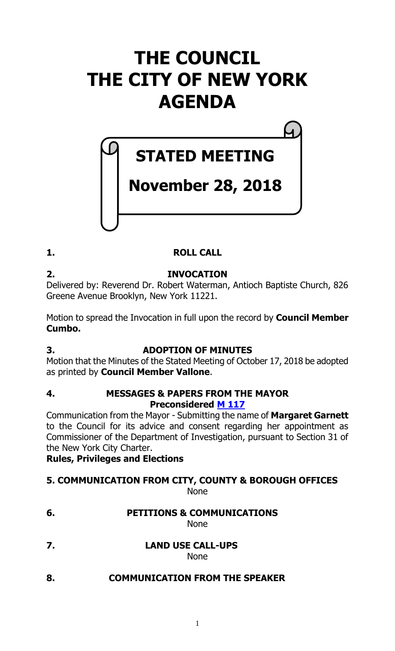# **THE COUNCIL THE CITY OF NEW YORK AGENDA**

# **STATED MEETING**

# **November 28, 2018**

# **1. ROLL CALL**

# **2. INVOCATION**

Delivered by: Reverend Dr. Robert Waterman, Antioch Baptiste Church, 826 Greene Avenue Brooklyn, New York 11221.

Motion to spread the Invocation in full upon the record by **Council Member Cumbo.**

# **3. ADOPTION OF MINUTES**

Motion that the Minutes of the Stated Meeting of October 17, 2018 be adopted as printed by **Council Member Vallone**.

### **4. MESSAGES & PAPERS FROM THE MAYOR Preconsidered M [117](https://legistar.council.nyc.gov/LegislationDetail.aspx?ID=3761154&GUID=C40D8CFB-66E7-478E-9951-C0FCBAA5798C&Options=ID|&Search=)**

Communication from the Mayor - Submitting the name of **Margaret Garnett** to the Council for its advice and consent regarding her appointment as Commissioner of the Department of Investigation, pursuant to Section 31 of the New York City Charter.

**Rules, Privileges and Elections**

# **5. COMMUNICATION FROM CITY, COUNTY & BOROUGH OFFICES**

None

**6. PETITIONS & COMMUNICATIONS**

None

**7. LAND USE CALL-UPS**

None

**8. COMMUNICATION FROM THE SPEAKER**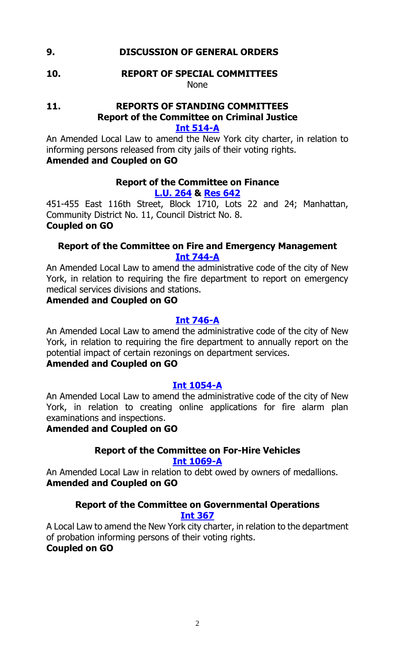### **9. DISCUSSION OF GENERAL ORDERS**

#### **10. REPORT OF SPECIAL COMMITTEES** None

#### **11. REPORTS OF STANDING COMMITTEES Report of the Committee on Criminal Justice [Int 514-A](https://legistar.council.nyc.gov/LegislationDetail.aspx?ID=3343946&GUID=DBAFFC40-8E60-4627-80CE-A34B08ABB91F&Options=Advanced&Search=)**

An Amended Local Law to amend the New York city charter, in relation to informing persons released from city jails of their voting rights. **Amended and Coupled on GO**

### **Report of the Committee on Finance**

**[L.U.](https://legistar.council.nyc.gov/LegislationDetail.aspx?ID=3726172&GUID=7D1768C9-FB5A-4383-8D79-BFAB7995545F&Options=ID|&Search=0264) 264 & [Res](https://legistar.council.nyc.gov/LegislationDetail.aspx?ID=3763674&GUID=8E276F41-15C1-4BCD-9805-79257F88F242&Options=ID|&Search=) 642**

451-455 East 116th Street, Block 1710, Lots 22 and 24; Manhattan, Community District No. 11, Council District No. 8. **Coupled on GO**

### **Report of the Committee on Fire and Emergency Management [Int 744-A](https://legistar.council.nyc.gov/LegislationDetail.aspx?ID=3461465&GUID=D37D1B1A-33EE-4A08-9125-6CA10422DAFC&Options=Advanced&Search=)**

An Amended Local Law to amend the administrative code of the city of New York, in relation to requiring the fire department to report on emergency medical services divisions and stations.

#### **Amended and Coupled on GO**

### **[Int 746-A](https://legistar.council.nyc.gov/LegislationDetail.aspx?ID=3461466&GUID=F3C57C34-5BC5-446A-B238-60A3DE417CA6&Options=Advanced&Search=)**

An Amended Local Law to amend the administrative code of the city of New York, in relation to requiring the fire department to annually report on the potential impact of certain rezonings on department services.

#### **Amended and Coupled on GO**

#### **[Int 1054-A](https://legistar.council.nyc.gov/LegislationDetail.aspx?ID=3597611&GUID=6DFC84A4-888A-4656-8D1E-EB29A64CB732&Options=Advanced&Search=)**

An Amended Local Law to amend the administrative code of the city of New York, in relation to creating online applications for fire alarm plan examinations and inspections.

#### **Amended and Coupled on GO**

#### **Report of the Committee on For-Hire Vehicles**

**[Int 1069-A](https://legistar.council.nyc.gov/LegislationDetail.aspx?ID=3597768&GUID=C5BFBDE4-872D-4ACC-B611-A36FA375EEA3&Options=Advanced&Search=)**

An Amended Local Law in relation to debt owed by owners of medallions. **Amended and Coupled on GO**

# **Report of the Committee on Governmental Operations**

## **[Int 367](https://legistar.council.nyc.gov/LegislationDetail.aspx?ID=3332156&GUID=0F8079C6-CF57-47F9-9C3D-48A09B2F2AFE&Options=Advanced&Search=)**

A Local Law to amend the New York city charter, in relation to the department of probation informing persons of their voting rights.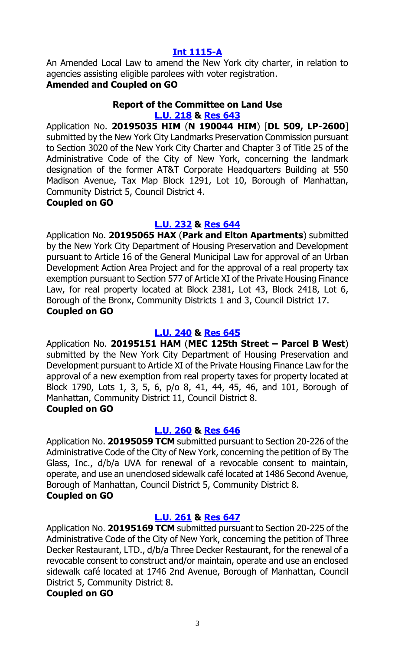#### **[Int 1115-A](https://legistar.council.nyc.gov/LegislationDetail.aspx?ID=3683685&GUID=039175D9-AC57-4398-897F-D5DA8D1530C7&Options=Advanced&Search=)**

An Amended Local Law to amend the New York city charter, in relation to agencies assisting eligible parolees with voter registration.

# **Amended and Coupled on GO**

#### **Report of the Committee on Land Use [L.U. 218](https://legistar.council.nyc.gov/LegislationDetail.aspx?ID=3673512&GUID=76B2D440-EFE3-4A25-85C8-4F338807D483&Options=Advanced&Search=) & [Res](https://legistar.council.nyc.gov/LegislationDetail.aspx?ID=3759210&GUID=A2C029C9-B013-465F-BA9A-F7225EC458E5&Options=ID|&Search=) 643**

Application No. **20195035 HIM** (**N 190044 HIM**) [**DL 509, LP-2600**] submitted by the New York City Landmarks Preservation Commission pursuant to Section 3020 of the New York City Charter and Chapter 3 of Title 25 of the Administrative Code of the City of New York, concerning the landmark designation of the former AT&T Corporate Headquarters Building at 550 Madison Avenue, Tax Map Block 1291, Lot 10, Borough of Manhattan, Community District 5, Council District 4.

#### **Coupled on GO**

# **[L.U. 232](https://legistar.council.nyc.gov/LegislationDetail.aspx?ID=3685415&GUID=2721ACCC-1913-4499-A53D-1D4F51D476DC&Options=Advanced&Search=) & [Res](https://legistar.council.nyc.gov/LegislationDetail.aspx?ID=3759211&GUID=8F4D1CFC-B363-4C9D-A50A-A09954054116&Options=ID|&Search=) 644**

Application No. **20195065 HAX** (**Park and Elton Apartments**) submitted by the New York City Department of Housing Preservation and Development pursuant to Article 16 of the General Municipal Law for approval of an Urban Development Action Area Project and for the approval of a real property tax exemption pursuant to Section 577 of Article XI of the Private Housing Finance Law, for real property located at Block 2381, Lot 43, Block 2418, Lot 6, Borough of the Bronx, Community Districts 1 and 3, Council District 17. **Coupled on GO**

# **[L.U. 240](https://legistar.council.nyc.gov/LegislationDetail.aspx?ID=3704394&GUID=F90A76CB-2357-4A02-ACA0-DDF6AC912123&Options=Advanced&Search=) & [Res](https://legistar.council.nyc.gov/LegislationDetail.aspx?ID=3759212&GUID=D3930571-008C-4A45-B8D0-3BCB501D83DF&Options=ID|&Search=) 645**

Application No. **20195151 HAM** (**MEC 125th Street – Parcel B West**) submitted by the New York City Department of Housing Preservation and Development pursuant to Article XI of the Private Housing Finance Law for the approval of a new exemption from real property taxes for property located at Block 1790, Lots 1, 3, 5, 6, p/o 8, 41, 44, 45, 46, and 101, Borough of Manhattan, Community District 11, Council District 8. **Coupled on GO**

# **[L.U. 260](https://legistar.council.nyc.gov/LegislationDetail.aspx?ID=3712852&GUID=33E920D7-F05C-4FFE-8C4A-C5D22AF7D3DF&Options=Advanced&Search=) & [Res](https://legistar.council.nyc.gov/LegislationDetail.aspx?ID=3759213&GUID=55AAB94E-6EBB-4E62-836C-55C6747EDF09&Options=ID|&Search=) 646**

Application No. **20195059 TCM** submitted pursuant to Section 20-226 of the Administrative Code of the City of New York, concerning the petition of By The Glass, Inc., d/b/a UVA for renewal of a revocable consent to maintain, operate, and use an unenclosed sidewalk café located at 1486 Second Avenue, Borough of Manhattan, Council District 5, Community District 8. **Coupled on GO**

# **[L.U.](https://legistar.council.nyc.gov/LegislationDetail.aspx?ID=3712853&GUID=03706BD6-02A3-4211-A1EE-6A26B606AF9C&Options=Advanced&Search=) 261 & [Res](https://legistar.council.nyc.gov/LegislationDetail.aspx?ID=3759214&GUID=ACA47EB9-3388-4FAD-AAB8-F36FEDE2B4F9&Options=ID|&Search=) 647**

Application No. **20195169 TCM** submitted pursuant to Section 20-225 of the Administrative Code of the City of New York, concerning the petition of Three Decker Restaurant, LTD., d/b/a Three Decker Restaurant, for the renewal of a revocable consent to construct and/or maintain, operate and use an enclosed sidewalk café located at 1746 2nd Avenue, Borough of Manhattan, Council District 5, Community District 8.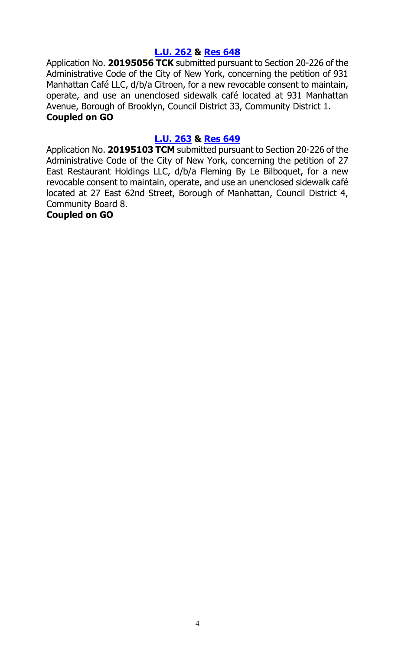#### **[L.U. 262](https://legistar.council.nyc.gov/LegislationDetail.aspx?ID=3712854&GUID=DE8C5282-CF80-4176-BE7D-C108E00FC9B5&Options=Advanced&Search=) & [Res](https://legistar.council.nyc.gov/LegislationDetail.aspx?ID=3759215&GUID=EF372CA8-2516-4DB7-A9C8-A729725572F2&Options=ID|&Search=) 648**

Application No. **20195056 TCK** submitted pursuant to Section 20-226 of the Administrative Code of the City of New York, concerning the petition of 931 Manhattan Café LLC, d/b/a Citroen, for a new revocable consent to maintain, operate, and use an unenclosed sidewalk café located at 931 Manhattan Avenue, Borough of Brooklyn, Council District 33, Community District 1. **Coupled on GO**

#### **[L.U. 263](https://legistar.council.nyc.gov/LegislationDetail.aspx?ID=3712894&GUID=B427C253-547F-474C-B229-9D2E694DBB7F&Options=Advanced&Search=) & [Res](https://legistar.council.nyc.gov/LegislationDetail.aspx?ID=3759216&GUID=618946E2-B932-4444-B2A7-CF325BDB84EA&Options=ID|&Search=) 649**

Application No. **20195103 TCM** submitted pursuant to Section 20-226 of the Administrative Code of the City of New York, concerning the petition of 27 East Restaurant Holdings LLC, d/b/a Fleming By Le Bilboquet, for a new revocable consent to maintain, operate, and use an unenclosed sidewalk café located at 27 East 62nd Street, Borough of Manhattan, Council District 4, Community Board 8.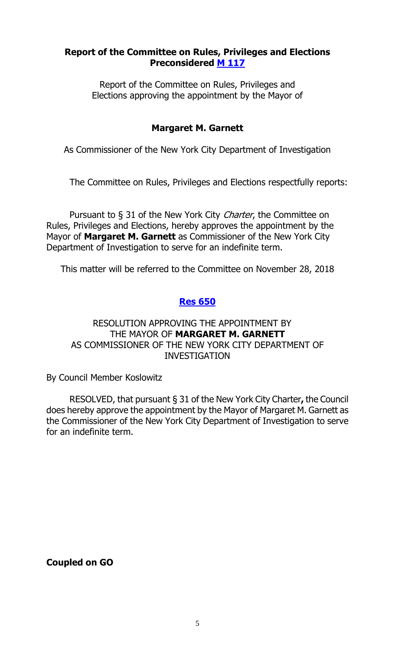#### **Report of the Committee on Rules, Privileges and Elections Preconsidered M [117](https://legistar.council.nyc.gov/LegislationDetail.aspx?ID=3761154&GUID=C40D8CFB-66E7-478E-9951-C0FCBAA5798C&Options=ID|&Search=)**

Report of the Committee on Rules, Privileges and Elections approving the appointment by the Mayor of

### **Margaret M. Garnett**

As Commissioner of the New York City Department of Investigation

The Committee on Rules, Privileges and Elections respectfully reports:

Pursuant to § 31 of the New York City *Charter*, the Committee on Rules, Privileges and Elections, hereby approves the appointment by the Mayor of **Margaret M. Garnett** as Commissioner of the New York City Department of Investigation to serve for an indefinite term.

This matter will be referred to the Committee on November 28, 2018

### **Res [650](https://legistar.council.nyc.gov/LegislationDetail.aspx?ID=3763684&GUID=5F95B591-9DFB-4FFE-9531-0D26CB5FFBEA&Options=ID|&Search=)**

#### RESOLUTION APPROVING THE APPOINTMENT BY THE MAYOR OF **MARGARET M. GARNETT** AS COMMISSIONER OF THE NEW YORK CITY DEPARTMENT OF INVESTIGATION

By Council Member Koslowitz

RESOLVED, that pursuant § 31 of the New York City Charter**,** the Council does hereby approve the appointment by the Mayor of Margaret M. Garnett as the Commissioner of the New York City Department of Investigation to serve for an indefinite term.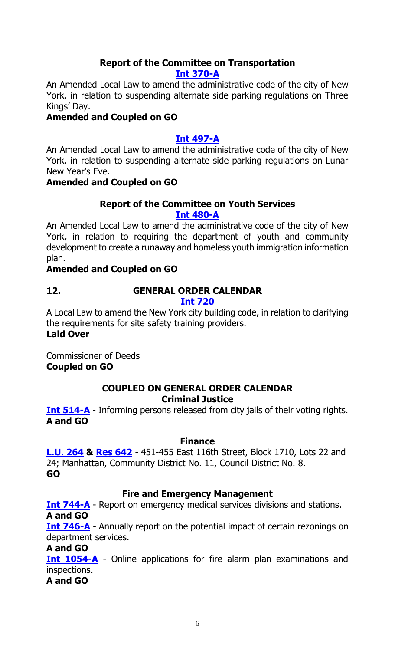# **Report of the Committee on Transportation**

#### **Int [370-A](https://legistar.council.nyc.gov/LegislationDetail.aspx?ID=3332155&GUID=FC593A54-3459-40C4-8D34-5CDB8697AC11&Options=Advanced&Search=)**

An Amended Local Law to amend the administrative code of the city of New York, in relation to suspending alternate side parking regulations on Three Kings' Day.

## **Amended and Coupled on GO**

# **Int [497-A](https://legistar.council.nyc.gov/LegislationDetail.aspx?ID=3343890&GUID=CEEE552F-E883-4409-A77C-E884AB99C41B&Options=Advanced&Search=)**

An Amended Local Law to amend the administrative code of the city of New York, in relation to suspending alternate side parking regulations on Lunar New Year's Eve.

# **Amended and Coupled on GO**

# **Report of the Committee on Youth Services**

#### **[Int 480-A](https://legistar.council.nyc.gov/LegislationDetail.aspx?ID=3343813&GUID=B8AE7E42-45EC-4523-AEBD-514C893B3C42&Options=Advanced&Search=)**

An Amended Local Law to amend the administrative code of the city of New York, in relation to requiring the department of youth and community development to create a runaway and homeless youth immigration information plan.

### **Amended and Coupled on GO**

# **12. GENERAL ORDER CALENDAR**

# **[Int 720](https://legistar.council.nyc.gov/LegislationDetail.aspx?ID=3364140&GUID=4A00AE92-D940-431A-A3C6-0AA406BC41F1&Options=ID|&Search=0720)**

A Local Law to amend the New York city building code, in relation to clarifying the requirements for site safety training providers. **Laid Over**

Commissioner of Deeds **Coupled on GO**

### **COUPLED ON GENERAL ORDER CALENDAR Criminal Justice**

**[Int 514-A](https://legistar.council.nyc.gov/LegislationDetail.aspx?ID=3343946&GUID=DBAFFC40-8E60-4627-80CE-A34B08ABB91F&Options=Advanced&Search=)** - Informing persons released from city jails of their voting rights. **A and GO**

#### **Finance**

**[L.U.](https://legistar.council.nyc.gov/LegislationDetail.aspx?ID=3726172&GUID=7D1768C9-FB5A-4383-8D79-BFAB7995545F&Options=ID|&Search=0264) 264 & [Res 642](https://legistar.council.nyc.gov/LegislationDetail.aspx?ID=3763674&GUID=8E276F41-15C1-4BCD-9805-79257F88F242&Options=ID|&Search=)** - 451-455 East 116th Street, Block 1710, Lots 22 and 24; Manhattan, Community District No. 11, Council District No. 8. **GO**

#### **Fire and Emergency Management**

**[Int 744-A](https://legistar.council.nyc.gov/LegislationDetail.aspx?ID=3461465&GUID=D37D1B1A-33EE-4A08-9125-6CA10422DAFC&Options=Advanced&Search=)** - Report on emergency medical services divisions and stations. **A and GO**

**[Int 746-A](https://legistar.council.nyc.gov/LegislationDetail.aspx?ID=3461466&GUID=F3C57C34-5BC5-446A-B238-60A3DE417CA6&Options=Advanced&Search=)** - Annually report on the potential impact of certain rezonings on department services.

#### **A and GO**

**[Int 1054-A](https://legistar.council.nyc.gov/LegislationDetail.aspx?ID=3597611&GUID=6DFC84A4-888A-4656-8D1E-EB29A64CB732&Options=Advanced&Search=)** - Online applications for fire alarm plan examinations and inspections.

**A and GO**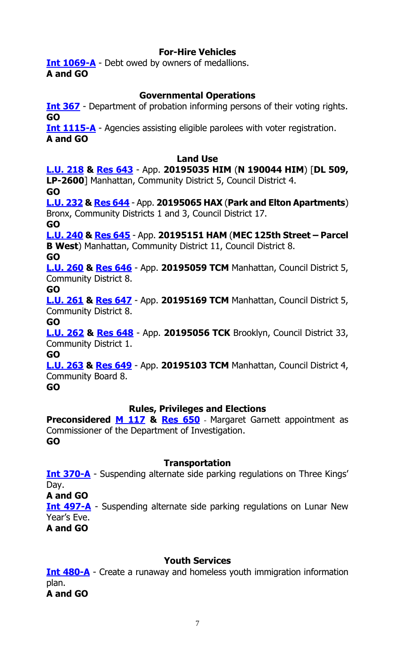## **For-Hire Vehicles**

**[Int 1069-A](https://legistar.council.nyc.gov/LegislationDetail.aspx?ID=3597768&GUID=C5BFBDE4-872D-4ACC-B611-A36FA375EEA3&Options=Advanced&Search=)** - Debt owed by owners of medallions. **A and GO**

## **Governmental Operations**

**[Int 367](https://legistar.council.nyc.gov/LegislationDetail.aspx?ID=3332156&GUID=0F8079C6-CF57-47F9-9C3D-48A09B2F2AFE&Options=Advanced&Search=)** - Department of probation informing persons of their voting rights. **GO**

**[Int 1115-A](https://legistar.council.nyc.gov/LegislationDetail.aspx?ID=3683685&GUID=039175D9-AC57-4398-897F-D5DA8D1530C7&Options=Advanced&Search=)** - Agencies assisting eligible parolees with voter registration. **A and GO**

#### **Land Use**

**[L.U. 218](https://legistar.council.nyc.gov/LegislationDetail.aspx?ID=3673512&GUID=76B2D440-EFE3-4A25-85C8-4F338807D483&Options=Advanced&Search=) & [Res](https://legistar.council.nyc.gov/LegislationDetail.aspx?ID=3759210&GUID=A2C029C9-B013-465F-BA9A-F7225EC458E5&Options=ID|&Search=) 643** - App. **20195035 HIM** (**N 190044 HIM**) [**DL 509, LP-2600**] Manhattan, Community District 5, Council District 4. **GO [L.U. 232](https://legistar.council.nyc.gov/LegislationDetail.aspx?ID=3685415&GUID=2721ACCC-1913-4499-A53D-1D4F51D476DC&Options=Advanced&Search=) & [Res](https://legistar.council.nyc.gov/LegislationDetail.aspx?ID=3759211&GUID=8F4D1CFC-B363-4C9D-A50A-A09954054116&Options=ID|&Search=) 644** - App. **20195065 HAX** (**Park and Elton Apartments**) Bronx, Community Districts 1 and 3, Council District 17. **GO [L.U. 240](https://legistar.council.nyc.gov/LegislationDetail.aspx?ID=3704394&GUID=F90A76CB-2357-4A02-ACA0-DDF6AC912123&Options=Advanced&Search=) & [Res](https://legistar.council.nyc.gov/LegislationDetail.aspx?ID=3759212&GUID=D3930571-008C-4A45-B8D0-3BCB501D83DF&Options=ID|&Search=) 645** - App. **20195151 HAM** (**MEC 125th Street – Parcel B West**) Manhattan, Community District 11, Council District 8. **GO [L.U. 260](https://legistar.council.nyc.gov/LegislationDetail.aspx?ID=3712852&GUID=33E920D7-F05C-4FFE-8C4A-C5D22AF7D3DF&Options=Advanced&Search=) & [Res](https://legistar.council.nyc.gov/LegislationDetail.aspx?ID=3759213&GUID=55AAB94E-6EBB-4E62-836C-55C6747EDF09&Options=ID|&Search=) 646** - App. **20195059 TCM** Manhattan, Council District 5, Community District 8. **GO [L.U.](https://legistar.council.nyc.gov/LegislationDetail.aspx?ID=3712853&GUID=03706BD6-02A3-4211-A1EE-6A26B606AF9C&Options=Advanced&Search=) 261 & [Res](https://legistar.council.nyc.gov/LegislationDetail.aspx?ID=3759214&GUID=ACA47EB9-3388-4FAD-AAB8-F36FEDE2B4F9&Options=ID|&Search=) 647** - App. **20195169 TCM** Manhattan, Council District 5, Community District 8. **GO [L.U. 262](https://legistar.council.nyc.gov/LegislationDetail.aspx?ID=3712854&GUID=DE8C5282-CF80-4176-BE7D-C108E00FC9B5&Options=Advanced&Search=) & [Res](https://legistar.council.nyc.gov/LegislationDetail.aspx?ID=3759215&GUID=EF372CA8-2516-4DB7-A9C8-A729725572F2&Options=ID|&Search=) 648** - App. **20195056 TCK** Brooklyn, Council District 33,

Community District 1.

**GO**

**[L.U. 263](https://legistar.council.nyc.gov/LegislationDetail.aspx?ID=3712894&GUID=B427C253-547F-474C-B229-9D2E694DBB7F&Options=Advanced&Search=) & [Res](https://legistar.council.nyc.gov/LegislationDetail.aspx?ID=3759216&GUID=618946E2-B932-4444-B2A7-CF325BDB84EA&Options=ID|&Search=) 649** - App. **20195103 TCM** Manhattan, Council District 4, Community Board 8.

**GO**

#### **Rules, Privileges and Elections**

**Preconsidered [M 117](https://legistar.council.nyc.gov/LegislationDetail.aspx?ID=3761154&GUID=C40D8CFB-66E7-478E-9951-C0FCBAA5798C&Options=ID|&Search=) & [Res 650](https://legistar.council.nyc.gov/LegislationDetail.aspx?ID=3763684&GUID=5F95B591-9DFB-4FFE-9531-0D26CB5FFBEA&Options=ID|&Search=)** - Margaret Garnett appointment as Commissioner of the Department of Investigation. **GO**

#### **Transportation**

**[Int 370-A](https://legistar.council.nyc.gov/LegislationDetail.aspx?ID=3332155&GUID=FC593A54-3459-40C4-8D34-5CDB8697AC11&Options=Advanced&Search=)** - Suspending alternate side parking regulations on Three Kings' Day.

**A and GO**

**[Int 497-A](https://legistar.council.nyc.gov/LegislationDetail.aspx?ID=3343890&GUID=CEEE552F-E883-4409-A77C-E884AB99C41B&Options=Advanced&Search=)** - Suspending alternate side parking regulations on Lunar New Year's Eve.

**A and GO**

#### **Youth Services**

**[Int 480-A](https://legistar.council.nyc.gov/LegislationDetail.aspx?ID=3343813&GUID=B8AE7E42-45EC-4523-AEBD-514C893B3C42&Options=Advanced&Search=)** - Create a runaway and homeless youth immigration information plan. **A and GO**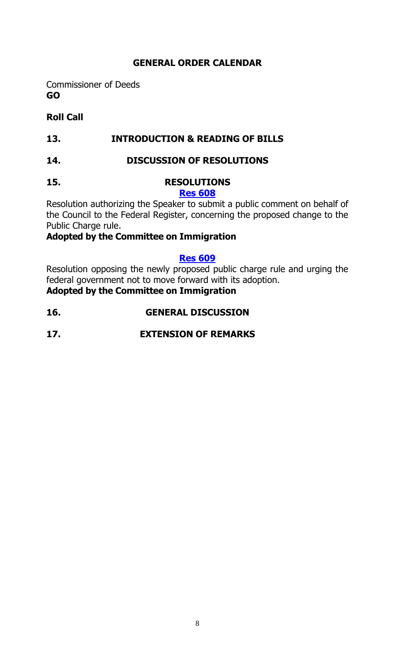# **GENERAL ORDER CALENDAR**

Commissioner of Deeds **GO**

# **Roll Call**

# **13. INTRODUCTION & READING OF BILLS**

#### **14. DISCUSSION OF RESOLUTIONS**

# **15. RESOLUTIONS**

### **[Res 608](https://legistar.council.nyc.gov/LegislationDetail.aspx?ID=3724273&GUID=2F79F71E-FB47-43BD-A0EB-FB76D0EC3068&Options=Advanced&Search=)**

Resolution authorizing the Speaker to submit a public comment on behalf of the Council to the Federal Register, concerning the proposed change to the Public Charge rule.

# **Adopted by the Committee on Immigration**

#### **[Res 609](https://legistar.council.nyc.gov/LegislationDetail.aspx?ID=3727355&GUID=A0891AC1-03CF-4131-A2A5-84B63770522B&Options=Advanced&Search=)**

Resolution opposing the newly proposed public charge rule and urging the federal government not to move forward with its adoption.

**Adopted by the Committee on Immigration**

- **16. GENERAL DISCUSSION**
- **17. EXTENSION OF REMARKS**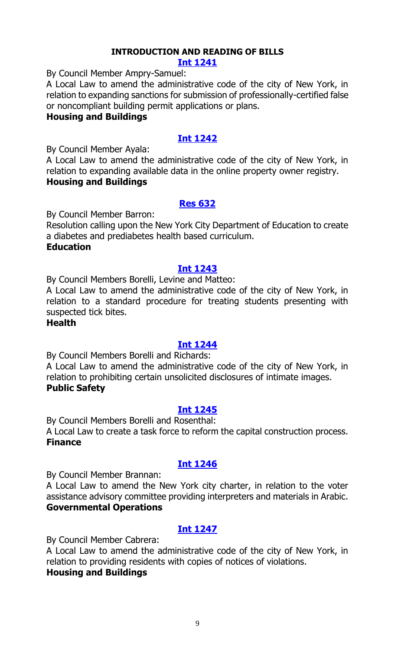# **INTRODUCTION AND READING OF BILLS**

#### **[Int 1241](https://legistar.council.nyc.gov/LegislationDetail.aspx?ID=3762647&GUID=5C113857-E680-40A5-894E-9808D0E4100D&Options=ID%7c&Search=)**

By Council Member Ampry-Samuel:

A Local Law to amend the administrative code of the city of New York, in relation to expanding sanctions for submission of professionally-certified false or noncompliant building permit applications or plans.

#### **Housing and Buildings**

# **[Int 1242](https://legistar.council.nyc.gov/LegislationDetail.aspx?ID=3762644&GUID=34F44265-D7CA-49F5-8742-C2506898E558&Options=ID|&Search=)**

By Council Member Ayala:

A Local Law to amend the administrative code of the city of New York, in relation to expanding available data in the online property owner registry. **Housing and Buildings**

#### **[Res 632](https://legistar.council.nyc.gov/LegislationDetail.aspx?ID=3763644&GUID=FEBB7480-9918-48BC-9552-182B32A26CDB&Options=ID%7c&Search=)**

By Council Member Barron:

Resolution calling upon the New York City Department of Education to create a diabetes and prediabetes health based curriculum.

# **Education**

#### **[Int 1243](https://legistar.council.nyc.gov/LegislationDetail.aspx?ID=3763640&GUID=178FF3ED-4062-4E90-B737-8CCEEE64D543&Options=ID|&Search=)**

By Council Members Borelli, Levine and Matteo:

A Local Law to amend the administrative code of the city of New York, in relation to a standard procedure for treating students presenting with suspected tick bites.

#### **Health**

#### **[Int 1244](https://legistar.council.nyc.gov/LegislationDetail.aspx?ID=3763643&GUID=F06C28F9-16D1-4DDA-82D7-372C94B8E84D&Options=ID|&Search=)**

By Council Members Borelli and Richards:

A Local Law to amend the administrative code of the city of New York, in relation to prohibiting certain unsolicited disclosures of intimate images. **Public Safety**

#### **[Int 1245](https://legistar.council.nyc.gov/LegislationDetail.aspx?ID=3763631&GUID=BC0BF3AF-2DE1-416E-A7E1-30DEAE1B436F&Options=ID|&Search=)**

By Council Members Borelli and Rosenthal: A Local Law to create a task force to reform the capital construction process. **Finance**

# **[Int 1246](https://legistar.council.nyc.gov/LegislationDetail.aspx?ID=3763642&GUID=792D2B54-FEA1-4090-8CC5-A57A7E3E6238&Options=ID|&Search=)**

By Council Member Brannan:

A Local Law to amend the New York city charter, in relation to the voter assistance advisory committee providing interpreters and materials in Arabic. **Governmental Operations**

# **[Int 1247](https://legistar.council.nyc.gov/LegislationDetail.aspx?ID=3762648&GUID=0AEB1BBA-864A-4B03-B940-55CFEBD79CDA&Options=ID|&Search=)**

By Council Member Cabrera:

A Local Law to amend the administrative code of the city of New York, in relation to providing residents with copies of notices of violations.

#### **Housing and Buildings**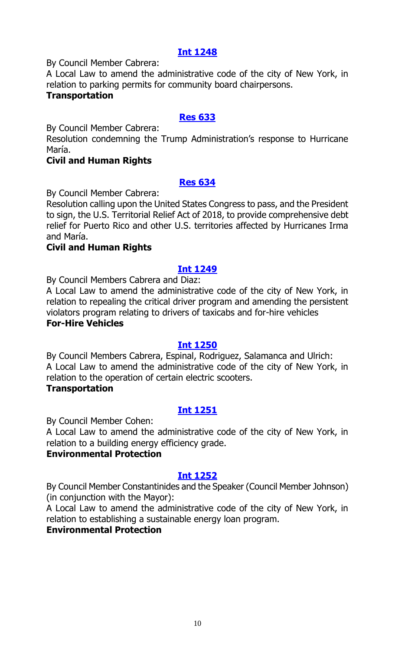By Council Member Cabrera:

A Local Law to amend the administrative code of the city of New York, in relation to parking permits for community board chairpersons.

#### **Transportation**

#### **[Res 633](https://legistar.council.nyc.gov/LegislationDetail.aspx?ID=3763637&GUID=E5A85632-E8AC-4D9B-A052-05E4F99BD292&Options=ID|&Search=)**

By Council Member Cabrera:

Resolution condemning the Trump Administration's response to Hurricane María.

#### **Civil and Human Rights**

#### **[Res 634](https://legistar.council.nyc.gov/LegislationDetail.aspx?ID=3763638&GUID=AE092E5B-5549-47C7-B0FF-41C7CACDDA5D&Options=ID|&Search=)**

By Council Member Cabrera:

Resolution calling upon the United States Congress to pass, and the President to sign, the U.S. Territorial Relief Act of 2018, to provide comprehensive debt relief for Puerto Rico and other U.S. territories affected by Hurricanes Irma and María.

#### **Civil and Human Rights**

#### **[Int 1249](https://legistar.council.nyc.gov/LegislationDetail.aspx?ID=3763007&GUID=47A65476-2F65-4FA1-A2A5-A966A3464434&Options=ID|&Search=)**

By Council Members Cabrera and Diaz:

A Local Law to amend the administrative code of the city of New York, in relation to repealing the critical driver program and amending the persistent violators program relating to drivers of taxicabs and for-hire vehicles **For-Hire Vehicles**

#### **[Int 1250](https://legistar.council.nyc.gov/LegislationDetail.aspx?ID=3763645&GUID=1B9B8689-094C-46D1-8F0C-8BB71C99E149&Options=ID|&Search=)**

By Council Members Cabrera, Espinal, Rodriguez, Salamanca and Ulrich: A Local Law to amend the administrative code of the city of New York, in relation to the operation of certain electric scooters.

#### **Transportation**

# **[Int 1251](https://legistar.council.nyc.gov/LegislationDetail.aspx?ID=3761080&GUID=19EFEA3A-ADFE-47E5-94E9-6F8DA9EF8B3E&Options=ID|&Search=)**

By Council Member Cohen:

A Local Law to amend the administrative code of the city of New York, in relation to a building energy efficiency grade.

#### **Environmental Protection**

#### **[Int 1252](https://legistar.council.nyc.gov/LegislationDetail.aspx?ID=3761079&GUID=6D07BB04-3355-4C2F-AC39-07C636842490&Options=ID|&Search=)**

By Council Member Constantinides and the Speaker (Council Member Johnson) (in conjunction with the Mayor):

A Local Law to amend the administrative code of the city of New York, in relation to establishing a sustainable energy loan program.

#### **Environmental Protection**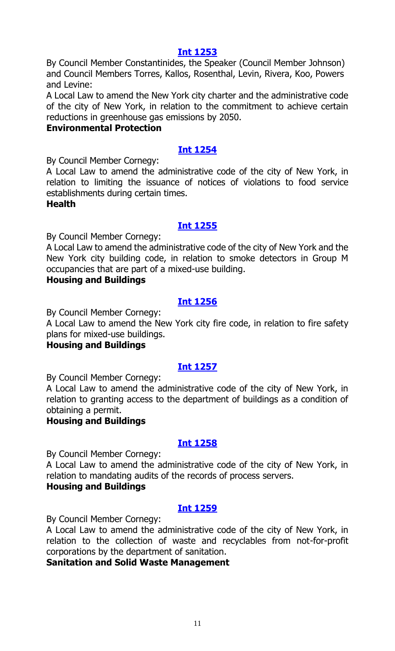By Council Member Constantinides, the Speaker (Council Member Johnson) and Council Members Torres, Kallos, Rosenthal, Levin, Rivera, Koo, Powers and Levine:

A Local Law to amend the New York city charter and the administrative code of the city of New York, in relation to the commitment to achieve certain reductions in greenhouse gas emissions by 2050.

#### **Environmental Protection**

#### **[Int 1254](https://legistar.council.nyc.gov/LegislationDetail.aspx?ID=3763633&GUID=5C8F6C21-8E05-4A03-8119-84E4333E17B3&Options=ID|&Search=)**

By Council Member Cornegy:

A Local Law to amend the administrative code of the city of New York, in relation to limiting the issuance of notices of violations to food service establishments during certain times.

#### **Health**

#### **[Int 1255](https://legistar.council.nyc.gov/LegislationDetail.aspx?ID=3763639&GUID=B4FDF3B5-1C4F-4340-B956-6FD85490EF0A&Options=ID|&Search=)**

By Council Member Cornegy:

A Local Law to amend the administrative code of the city of New York and the New York city building code, in relation to smoke detectors in Group M occupancies that are part of a mixed-use building.

#### **Housing and Buildings**

#### **[Int 1256](https://legistar.council.nyc.gov/LegislationDetail.aspx?ID=3763641&GUID=85AA3559-8CC7-41F8-938C-706DE27287E5&Options=ID|&Search=)**

By Council Member Cornegy:

A Local Law to amend the New York city fire code, in relation to fire safety plans for mixed-use buildings.

#### **Housing and Buildings**

# **[Int 1257](https://legistar.council.nyc.gov/LegislationDetail.aspx?ID=3762645&GUID=B8B599CD-BFE9-45E3-8688-3890830E2C54&Options=ID|&Search=)**

By Council Member Cornegy:

A Local Law to amend the administrative code of the city of New York, in relation to granting access to the department of buildings as a condition of obtaining a permit.

#### **Housing and Buildings**

#### **[Int 1258](https://legistar.council.nyc.gov/LegislationDetail.aspx?ID=3762646&GUID=A1C42284-594D-4EA4-B586-B2CDC33102B8&Options=ID|&Search=)**

By Council Member Cornegy:

A Local Law to amend the administrative code of the city of New York, in relation to mandating audits of the records of process servers.

### **Housing and Buildings**

#### **[Int 1259](https://legistar.council.nyc.gov/LegislationDetail.aspx?ID=3763632&GUID=6E055BAE-AFCB-479D-9C19-1BFB49B40587&Options=ID|&Search=)**

By Council Member Cornegy:

A Local Law to amend the administrative code of the city of New York, in relation to the collection of waste and recyclables from not-for-profit corporations by the department of sanitation.

**Sanitation and Solid Waste Management**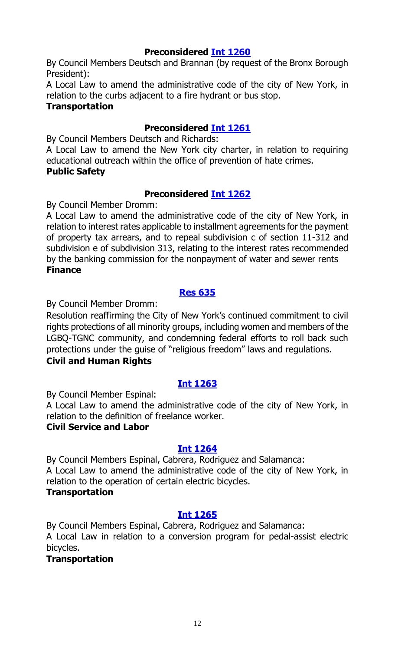# **Preconsidered [Int 1260](https://legistar.council.nyc.gov/LegislationDetail.aspx?ID=3755514&GUID=6EAE9F36-AC83-4527-B908-1910D193045F&Options=ID|&Search=)**

By Council Members Deutsch and Brannan (by request of the Bronx Borough President):

A Local Law to amend the administrative code of the city of New York, in relation to the curbs adjacent to a fire hydrant or bus stop.

#### **Transportation**

# **Preconsidered [Int 1261](https://legistar.council.nyc.gov/LegislationDetail.aspx?ID=3753838&GUID=EC7D01C8-7232-47C7-94F7-E36AFD9DA86C&Options=ID|&Search=)**

By Council Members Deutsch and Richards:

A Local Law to amend the New York city charter, in relation to requiring educational outreach within the office of prevention of hate crimes. **Public Safety**

# **Preconsidered [Int 1262](https://legistar.council.nyc.gov/LegislationDetail.aspx?ID=3757006&GUID=82B3186F-A7E4-44C6-9545-3E1689AE0322&Options=ID|&Search=)**

By Council Member Dromm:

A Local Law to amend the administrative code of the city of New York, in relation to interest rates applicable to installment agreements for the payment of property tax arrears, and to repeal subdivision c of section 11-312 and subdivision e of subdivision 313, relating to the interest rates recommended by the banking commission for the nonpayment of water and sewer rents **Finance**

# **[Res 635](https://legistar.council.nyc.gov/LegislationDetail.aspx?ID=3763634&GUID=174517CD-881C-499B-8532-91DFBC753E58&Options=ID|&Search=)**

By Council Member Dromm:

Resolution reaffirming the City of New York's continued commitment to civil rights protections of all minority groups, including women and members of the LGBQ-TGNC community, and condemning federal efforts to roll back such protections under the guise of "religious freedom" laws and regulations.

# **Civil and Human Rights**

# **[Int 1263](https://legistar.council.nyc.gov/LegislationDetail.aspx?ID=3763635&GUID=CACFB91D-857D-40AF-972B-D01A055EF09B&Options=ID|&Search=)**

By Council Member Espinal:

A Local Law to amend the administrative code of the city of New York, in relation to the definition of freelance worker.

# **Civil Service and Labor**

# **[Int 1264](https://legistar.council.nyc.gov/LegislationDetail.aspx?ID=3763646&GUID=5EEC4A3E-AF9D-4532-9E0E-2DE4333476F7&Options=ID|&Search=)**

By Council Members Espinal, Cabrera, Rodriguez and Salamanca: A Local Law to amend the administrative code of the city of New York, in relation to the operation of certain electric bicycles.

# **Transportation**

# **[Int 1265](https://legistar.council.nyc.gov/LegislationDetail.aspx?ID=3763647&GUID=F17D910C-F8D7-4F62-BF66-3D106BF58E2A&Options=ID|&Search=)**

By Council Members Espinal, Cabrera, Rodriguez and Salamanca: A Local Law in relation to a conversion program for pedal-assist electric bicycles.

# **Transportation**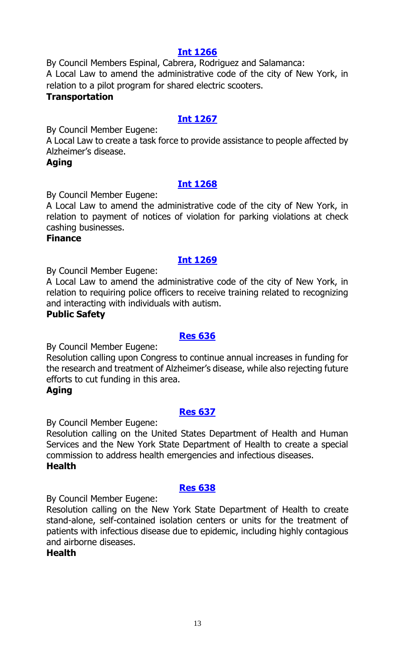By Council Members Espinal, Cabrera, Rodriguez and Salamanca: A Local Law to amend the administrative code of the city of New York, in relation to a pilot program for shared electric scooters.

### **Transportation**

# **[Int 1267](https://legistar.council.nyc.gov/LegislationDetail.aspx?ID=3763658&GUID=17A24778-CCCC-4A6D-AE5D-AD9D4F447898&Options=ID|&Search=)**

By Council Member Eugene:

A Local Law to create a task force to provide assistance to people affected by Alzheimer's disease.

### **Aging**

# **[Int 1268](https://legistar.council.nyc.gov/LegislationDetail.aspx?ID=3763653&GUID=4294B81F-35E1-410F-A91A-C9D9F2798724&Options=ID|&Search=)**

By Council Member Eugene:

A Local Law to amend the administrative code of the city of New York, in relation to payment of notices of violation for parking violations at check cashing businesses.

#### **Finance**

# **[Int 1269](https://legistar.council.nyc.gov/LegislationDetail.aspx?ID=3763657&GUID=7E09D187-7434-4BF9-A943-A522D1916D62&Options=ID|&Search=)**

By Council Member Eugene:

A Local Law to amend the administrative code of the city of New York, in relation to requiring police officers to receive training related to recognizing and interacting with individuals with autism.

### **Public Safety**

#### **[Res 636](https://legistar.council.nyc.gov/LegislationDetail.aspx?ID=3763654&GUID=16ABA0D4-822C-4360-940B-4D0B64B50DE4&Options=ID|&Search=)**

By Council Member Eugene:

Resolution calling upon Congress to continue annual increases in funding for the research and treatment of Alzheimer's disease, while also rejecting future efforts to cut funding in this area.

# **Aging**

# **[Res 637](https://legistar.council.nyc.gov/LegislationDetail.aspx?ID=3763656&GUID=91B546B2-82A8-4C8A-821A-CA2F0BA2094E&Options=ID|&Search=)**

By Council Member Eugene:

Resolution calling on the United States Department of Health and Human Services and the New York State Department of Health to create a special commission to address health emergencies and infectious diseases. **Health**

# **[Res 638](https://legistar.council.nyc.gov/LegislationDetail.aspx?ID=3763655&GUID=D096E795-45FB-4EE2-BF89-95799DB208D2&Options=ID|&Search=)**

By Council Member Eugene:

Resolution calling on the New York State Department of Health to create stand-alone, self-contained isolation centers or units for the treatment of patients with infectious disease due to epidemic, including highly contagious and airborne diseases.

**Health**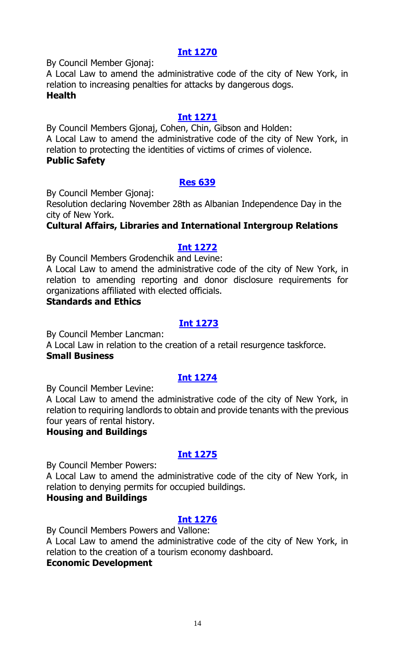By Council Member Gjonaj:

A Local Law to amend the administrative code of the city of New York, in relation to increasing penalties for attacks by dangerous dogs. **Health**

### **[Int 1271](https://legistar.council.nyc.gov/LegislationDetail.aspx?ID=3763660&GUID=E15533A3-B86C-42E0-9537-6B5372520492&Options=ID|&Search=)**

By Council Members Gjonaj, Cohen, Chin, Gibson and Holden: A Local Law to amend the administrative code of the city of New York, in relation to protecting the identities of victims of crimes of violence. **Public Safety**

### **[Res 639](https://legistar.council.nyc.gov/LegislationDetail.aspx?ID=3763659&GUID=74410A4D-7116-4848-97AD-DC64D41E102B&Options=ID|&Search=)**

By Council Member Gjonaj:

Resolution declaring November 28th as Albanian Independence Day in the city of New York.

# **Cultural Affairs, Libraries and International Intergroup Relations**

### **[Int 1272](https://legistar.council.nyc.gov/LegislationDetail.aspx?ID=3755833&GUID=7FA0E514-296F-432D-8065-EB95FC0CDE3E&Options=ID|&Search=)**

By Council Members Grodenchik and Levine:

A Local Law to amend the administrative code of the city of New York, in relation to amending reporting and donor disclosure requirements for organizations affiliated with elected officials.

#### **Standards and Ethics**

### **[Int 1273](https://legistar.council.nyc.gov/LegislationDetail.aspx?ID=3763666&GUID=6B0845FB-09ED-40A4-87A1-08254CED9139&Options=ID|&Search=)**

By Council Member Lancman:

A Local Law in relation to the creation of a retail resurgence taskforce. **Small Business**

#### **[Int 1274](https://legistar.council.nyc.gov/LegislationDetail.aspx?ID=3762643&GUID=CC4B41AF-B49A-4BBF-BAB0-55E52AE2262E&Options=ID|&Search=)**

By Council Member Levine:

A Local Law to amend the administrative code of the city of New York, in relation to requiring landlords to obtain and provide tenants with the previous four years of rental history.

#### **Housing and Buildings**

# **[Int 1275](https://legistar.council.nyc.gov/LegislationDetail.aspx?ID=3762663&GUID=25872FA1-A811-456F-AA9A-92582294B9FB&Options=ID|&Search=)**

By Council Member Powers:

A Local Law to amend the administrative code of the city of New York, in relation to denying permits for occupied buildings.

### **Housing and Buildings**

# **[Int 1276](https://legistar.council.nyc.gov/LegislationDetail.aspx?ID=3763668&GUID=F95CEA53-F549-4A33-BF2F-790EA109B1B9&Options=ID|&Search=)**

By Council Members Powers and Vallone:

A Local Law to amend the administrative code of the city of New York, in relation to the creation of a tourism economy dashboard.

#### **Economic Development**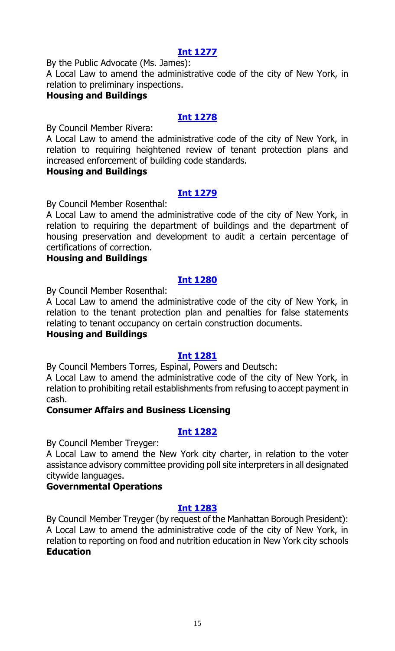By the Public Advocate (Ms. James):

A Local Law to amend the administrative code of the city of New York, in relation to preliminary inspections.

#### **Housing and Buildings**

## **[Int 1278](https://legistar.council.nyc.gov/LegislationDetail.aspx?ID=3762662&GUID=41EC4FA6-D077-41E5-9267-B7CD1C79D8AD&Options=ID|&Search=)**

By Council Member Rivera:

A Local Law to amend the administrative code of the city of New York, in relation to requiring heightened review of tenant protection plans and increased enforcement of building code standards.

#### **Housing and Buildings**

# **[Int 1279](https://legistar.council.nyc.gov/LegislationDetail.aspx?ID=3762664&GUID=0991D341-B8AC-4F6C-B397-81922B033E5F&Options=ID|&Search=)**

By Council Member Rosenthal:

A Local Law to amend the administrative code of the city of New York, in relation to requiring the department of buildings and the department of housing preservation and development to audit a certain percentage of certifications of correction.

#### **Housing and Buildings**

# **[Int 1280](https://legistar.council.nyc.gov/LegislationDetail.aspx?ID=3762661&GUID=8E522999-0AF5-4218-BDBF-EAC8A4D933D2&Options=ID|&Search=)**

By Council Member Rosenthal:

A Local Law to amend the administrative code of the city of New York, in relation to the tenant protection plan and penalties for false statements relating to tenant occupancy on certain construction documents.

# **Housing and Buildings**

# **[Int 1281](https://legistar.council.nyc.gov/LegislationDetail.aspx?ID=3763665&GUID=7800AFC9-D8B1-41FD-9C31-172565712686&Options=ID|&Search=)**

By Council Members Torres, Espinal, Powers and Deutsch:

A Local Law to amend the administrative code of the city of New York, in relation to prohibiting retail establishments from refusing to accept payment in cash.

# **Consumer Affairs and Business Licensing**

# **[Int 1282](https://legistar.council.nyc.gov/LegislationDetail.aspx?ID=3763667&GUID=C6C1C4F8-BE3D-4755-B131-EFA3D7B28DB2&Options=ID|&Search=)**

By Council Member Treyger:

A Local Law to amend the New York city charter, in relation to the voter assistance advisory committee providing poll site interpreters in all designated citywide languages.

# **Governmental Operations**

#### **[Int 1283](https://legistar.council.nyc.gov/LegislationDetail.aspx?ID=3763673&GUID=B1A79ADF-F241-454C-96BA-CC419CC6D602&Options=ID|&Search=)**

By Council Member Treyger (by request of the Manhattan Borough President): A Local Law to amend the administrative code of the city of New York, in relation to reporting on food and nutrition education in New York city schools **Education**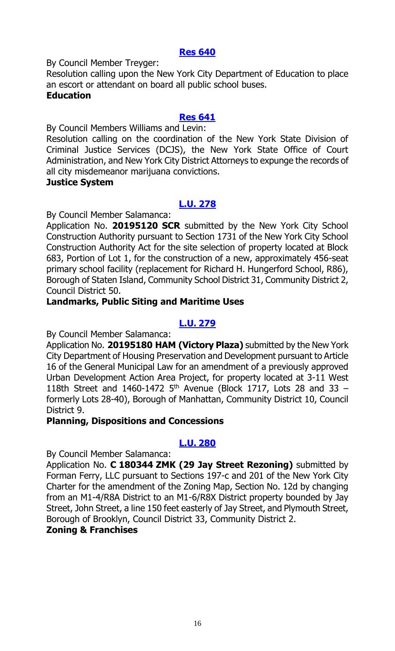#### **[Res 640](https://legistar.council.nyc.gov/LegislationDetail.aspx?ID=3763675&GUID=67A42D40-924A-4E30-87B9-7CE0B1C845AB&Options=ID|&Search=)**

By Council Member Treyger:

Resolution calling upon the New York City Department of Education to place an escort or attendant on board all public school buses. **Education**

#### **[Res 641](https://legistar.council.nyc.gov/LegislationDetail.aspx?ID=3763676&GUID=58F87DB5-0AD3-4E51-9DDE-02EF680D3047&Options=ID|&Search=)**

By Council Members Williams and Levin:

Resolution calling on the coordination of the New York State Division of Criminal Justice Services (DCJS), the New York State Office of Court Administration, and New York City District Attorneys to expunge the records of all city misdemeanor marijuana convictions.

#### **Justice System**

# **[L.U. 278](https://legistar.council.nyc.gov/LegislationDetail.aspx?ID=3761896&GUID=B74FBA24-A258-4760-A1D7-3A376B2D907C&Options=ID%7c&Search=)**

By Council Member Salamanca:

Application No. **20195120 SCR** submitted by the New York City School Construction Authority pursuant to Section 1731 of the New York City School Construction Authority Act for the site selection of property located at Block 683, Portion of Lot 1, for the construction of a new, approximately 456-seat primary school facility (replacement for Richard H. Hungerford School, R86), Borough of Staten Island, Community School District 31, Community District 2, Council District 50.

#### **Landmarks, Public Siting and Maritime Uses**

### **[L.U.](https://legistar.council.nyc.gov/LegislationDetail.aspx?ID=3761897&GUID=39298A52-313A-44FB-B393-DC2347981B6F&Options=ID|&Search=) 279**

By Council Member Salamanca:

Application No. **20195180 HAM (Victory Plaza)** submitted by the New York City Department of Housing Preservation and Development pursuant to Article 16 of the General Municipal Law for an amendment of a previously approved Urban Development Action Area Project, for property located at 3-11 West 118th Street and 1460-1472  $5<sup>th</sup>$  Avenue (Block 1717, Lots 28 and 33 – formerly Lots 28-40), Borough of Manhattan, Community District 10, Council District 9.

#### **Planning, Dispositions and Concessions**

#### **[L.U.](https://legistar.council.nyc.gov/LegislationDetail.aspx?ID=3761898&GUID=35A001BA-269A-4A79-B790-A9ABCEC7E99D&Options=ID|&Search=) 280**

By Council Member Salamanca:

Application No. **C 180344 ZMK (29 Jay Street Rezoning)** submitted by Forman Ferry, LLC pursuant to Sections 197-c and 201 of the New York City Charter for the amendment of the Zoning Map, Section No. 12d by changing from an M1-4/R8A District to an M1-6/R8X District property bounded by Jay Street, John Street, a line 150 feet easterly of Jay Street, and Plymouth Street, Borough of Brooklyn, Council District 33, Community District 2.

#### **Zoning & Franchises**